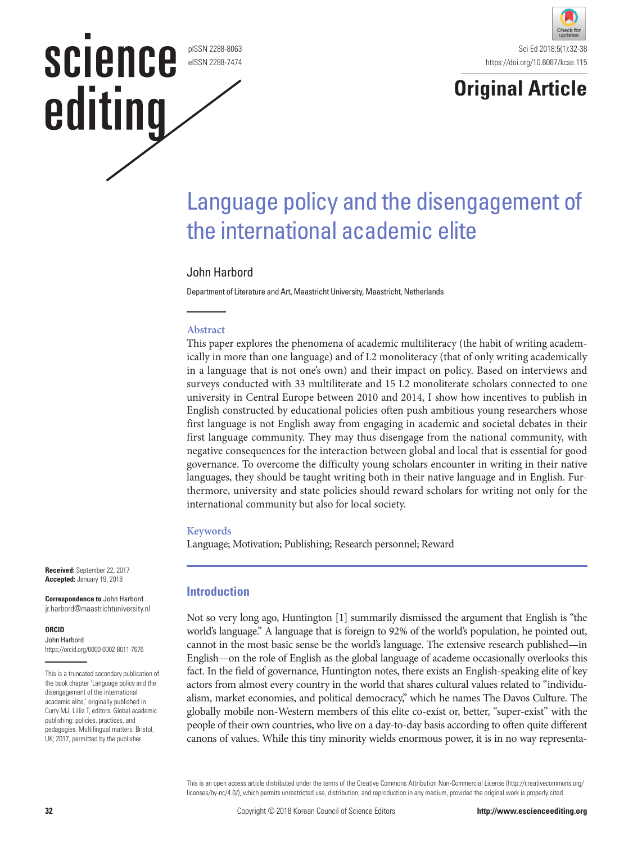pISSN 2288-8063 eISSN 2288-7474

**SCIENCE** 

editing



### **Original Article**

## Language policy and the disengagement of the international academic elite

### John Harbord

Department of Literature and Art, Maastricht University, Maastricht, Netherlands

### **Abstract**

This paper explores the phenomena of academic multiliteracy (the habit of writing academically in more than one language) and of L2 monoliteracy (that of only writing academically in a language that is not one's own) and their impact on policy. Based on interviews and surveys conducted with 33 multiliterate and 15 L2 monoliterate scholars connected to one university in Central Europe between 2010 and 2014, I show how incentives to publish in English constructed by educational policies often push ambitious young researchers whose first language is not English away from engaging in academic and societal debates in their first language community. They may thus disengage from the national community, with negative consequences for the interaction between global and local that is essential for good governance. To overcome the difficulty young scholars encounter in writing in their native languages, they should be taught writing both in their native language and in English. Furthermore, university and state policies should reward scholars for writing not only for the international community but also for local society.

### **Keywords**

Language; Motivation; Publishing; Research personnel; Reward

### **Introduction**

Not so very long ago, Huntington [1] summarily dismissed the argument that English is "the world's language." A language that is foreign to 92% of the world's population, he pointed out, cannot in the most basic sense be the world's language. The extensive research published—in English—on the role of English as the global language of academe occasionally overlooks this fact. In the field of governance, Huntington notes, there exists an English-speaking elite of key actors from almost every country in the world that shares cultural values related to "individualism, market economies, and political democracy," which he names The Davos Culture. The globally mobile non-Western members of this elite co-exist or, better, "super-exist" with the people of their own countries, who live on a day-to-day basis according to often quite different canons of values. While this tiny minority wields enormous power, it is in no way representa-

This is an open access article distributed under the terms of the Creative Commons Attribution Non-Commercial License (http://creativecommons.org/ licenses/by-nc/4.0/), which permits unrestricted use, distribution, and reproduction in any medium, provided the original work is properly cited.

**Correspondence to** John Harbord jr.harbord@maastrichtuniversity.nl

### **ORCID**

John Harbord https://orcid.org/0000-0002-8011-7676

This is a truncated secondary publication of the book chapter 'Language policy and the disengagement of the international academic elite,' originally published in Curry MJ, Lillis T, editors. Global academic publishing: policies, practices, and pedagogies. Multilingual matters: Bristol, UK; 2017, permitted by the publisher.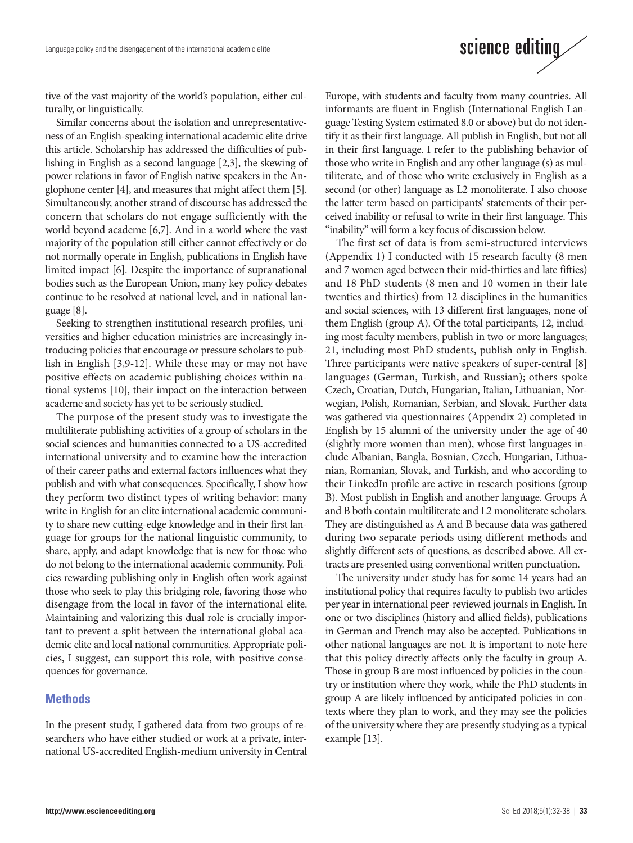# science editing

tive of the vast majority of the world's population, either culturally, or linguistically.

Similar concerns about the isolation and unrepresentativeness of an English-speaking international academic elite drive this article. Scholarship has addressed the difficulties of publishing in English as a second language [2,3], the skewing of power relations in favor of English native speakers in the Anglophone center [4], and measures that might affect them [5]. Simultaneously, another strand of discourse has addressed the concern that scholars do not engage sufficiently with the world beyond academe [6,7]. And in a world where the vast majority of the population still either cannot effectively or do not normally operate in English, publications in English have limited impact [6]. Despite the importance of supranational bodies such as the European Union, many key policy debates continue to be resolved at national level, and in national language [8].

Seeking to strengthen institutional research profiles, universities and higher education ministries are increasingly introducing policies that encourage or pressure scholars to publish in English [3,9-12]. While these may or may not have positive effects on academic publishing choices within national systems [10], their impact on the interaction between academe and society has yet to be seriously studied.

The purpose of the present study was to investigate the multiliterate publishing activities of a group of scholars in the social sciences and humanities connected to a US-accredited international university and to examine how the interaction of their career paths and external factors influences what they publish and with what consequences. Specifically, I show how they perform two distinct types of writing behavior: many write in English for an elite international academic community to share new cutting-edge knowledge and in their first language for groups for the national linguistic community, to share, apply, and adapt knowledge that is new for those who do not belong to the international academic community. Policies rewarding publishing only in English often work against those who seek to play this bridging role, favoring those who disengage from the local in favor of the international elite. Maintaining and valorizing this dual role is crucially important to prevent a split between the international global academic elite and local national communities. Appropriate policies, I suggest, can support this role, with positive consequences for governance.

### **Methods**

In the present study, I gathered data from two groups of researchers who have either studied or work at a private, international US-accredited English-medium university in Central

Europe, with students and faculty from many countries. All informants are fluent in English (International English Language Testing System estimated 8.0 or above) but do not identify it as their first language. All publish in English, but not all in their first language. I refer to the publishing behavior of those who write in English and any other language (s) as multiliterate, and of those who write exclusively in English as a second (or other) language as L2 monoliterate. I also choose the latter term based on participants' statements of their perceived inability or refusal to write in their first language. This "inability" will form a key focus of discussion below.

The first set of data is from semi-structured interviews (Appendix 1) I conducted with 15 research faculty (8 men and 7 women aged between their mid-thirties and late fifties) and 18 PhD students (8 men and 10 women in their late twenties and thirties) from 12 disciplines in the humanities and social sciences, with 13 different first languages, none of them English (group A). Of the total participants, 12, including most faculty members, publish in two or more languages; 21, including most PhD students, publish only in English. Three participants were native speakers of super-central [8] languages (German, Turkish, and Russian); others spoke Czech, Croatian, Dutch, Hungarian, Italian, Lithuanian, Norwegian, Polish, Romanian, Serbian, and Slovak. Further data was gathered via questionnaires (Appendix 2) completed in English by 15 alumni of the university under the age of 40 (slightly more women than men), whose first languages include Albanian, Bangla, Bosnian, Czech, Hungarian, Lithuanian, Romanian, Slovak, and Turkish, and who according to their LinkedIn profile are active in research positions (group B). Most publish in English and another language. Groups A and B both contain multiliterate and L2 monoliterate scholars. They are distinguished as A and B because data was gathered during two separate periods using different methods and slightly different sets of questions, as described above. All extracts are presented using conventional written punctuation.

The university under study has for some 14 years had an institutional policy that requires faculty to publish two articles per year in international peer-reviewed journals in English. In one or two disciplines (history and allied fields), publications in German and French may also be accepted. Publications in other national languages are not. It is important to note here that this policy directly affects only the faculty in group A. Those in group B are most influenced by policies in the country or institution where they work, while the PhD students in group A are likely influenced by anticipated policies in contexts where they plan to work, and they may see the policies of the university where they are presently studying as a typical example [13].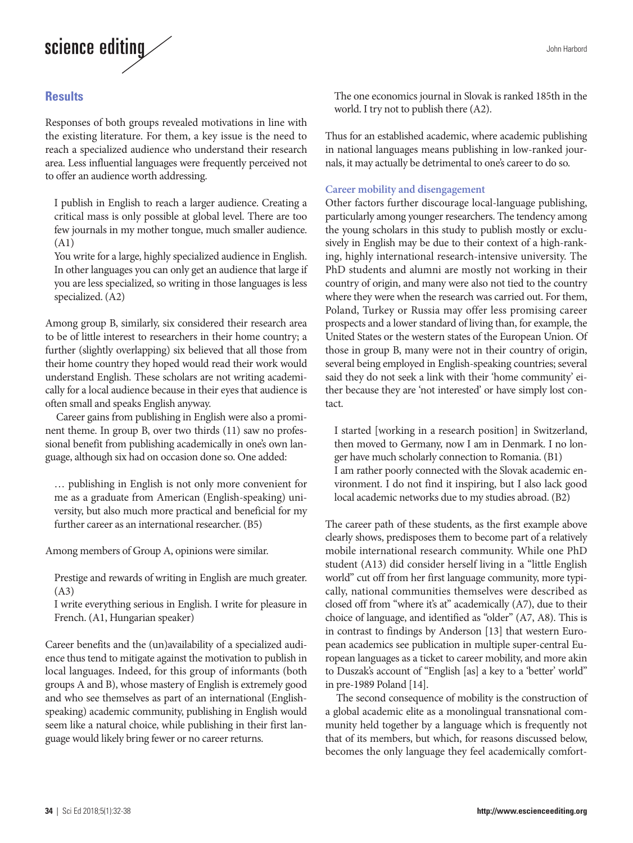# science editing

### **Results**

Responses of both groups revealed motivations in line with the existing literature. For them, a key issue is the need to reach a specialized audience who understand their research area. Less influential languages were frequently perceived not to offer an audience worth addressing.

I publish in English to reach a larger audience. Creating a critical mass is only possible at global level. There are too few journals in my mother tongue, much smaller audience. (A1)

You write for a large, highly specialized audience in English. In other languages you can only get an audience that large if you are less specialized, so writing in those languages is less specialized. (A2)

Among group B, similarly, six considered their research area to be of little interest to researchers in their home country; a further (slightly overlapping) six believed that all those from their home country they hoped would read their work would understand English. These scholars are not writing academically for a local audience because in their eyes that audience is often small and speaks English anyway.

Career gains from publishing in English were also a prominent theme. In group B, over two thirds (11) saw no professional benefit from publishing academically in one's own language, although six had on occasion done so. One added:

… publishing in English is not only more convenient for me as a graduate from American (English-speaking) university, but also much more practical and beneficial for my further career as an international researcher. (B5)

Among members of Group A, opinions were similar.

Prestige and rewards of writing in English are much greater. (A3)

I write everything serious in English. I write for pleasure in French. (A1, Hungarian speaker)

Career benefits and the (un)availability of a specialized audience thus tend to mitigate against the motivation to publish in local languages. Indeed, for this group of informants (both groups A and B), whose mastery of English is extremely good and who see themselves as part of an international (Englishspeaking) academic community, publishing in English would seem like a natural choice, while publishing in their first language would likely bring fewer or no career returns.

The one economics journal in Slovak is ranked 185th in the world. I try not to publish there (A2).

Thus for an established academic, where academic publishing in national languages means publishing in low-ranked journals, it may actually be detrimental to one's career to do so.

### **Career mobility and disengagement**

Other factors further discourage local-language publishing, particularly among younger researchers. The tendency among the young scholars in this study to publish mostly or exclusively in English may be due to their context of a high-ranking, highly international research-intensive university. The PhD students and alumni are mostly not working in their country of origin, and many were also not tied to the country where they were when the research was carried out. For them, Poland, Turkey or Russia may offer less promising career prospects and a lower standard of living than, for example, the United States or the western states of the European Union. Of those in group B, many were not in their country of origin, several being employed in English-speaking countries; several said they do not seek a link with their 'home community' either because they are 'not interested' or have simply lost contact.

I started [working in a research position] in Switzerland, then moved to Germany, now I am in Denmark. I no longer have much scholarly connection to Romania. (B1) I am rather poorly connected with the Slovak academic environment. I do not find it inspiring, but I also lack good local academic networks due to my studies abroad. (B2)

The career path of these students, as the first example above clearly shows, predisposes them to become part of a relatively mobile international research community. While one PhD student (A13) did consider herself living in a "little English world" cut off from her first language community, more typically, national communities themselves were described as closed off from "where it's at" academically (A7), due to their choice of language, and identified as "older" (A7, A8). This is in contrast to findings by Anderson [13] that western European academics see publication in multiple super-central European languages as a ticket to career mobility, and more akin to Duszak's account of "English [as] a key to a 'better' world" in pre-1989 Poland [14].

The second consequence of mobility is the construction of a global academic elite as a monolingual transnational community held together by a language which is frequently not that of its members, but which, for reasons discussed below, becomes the only language they feel academically comfort-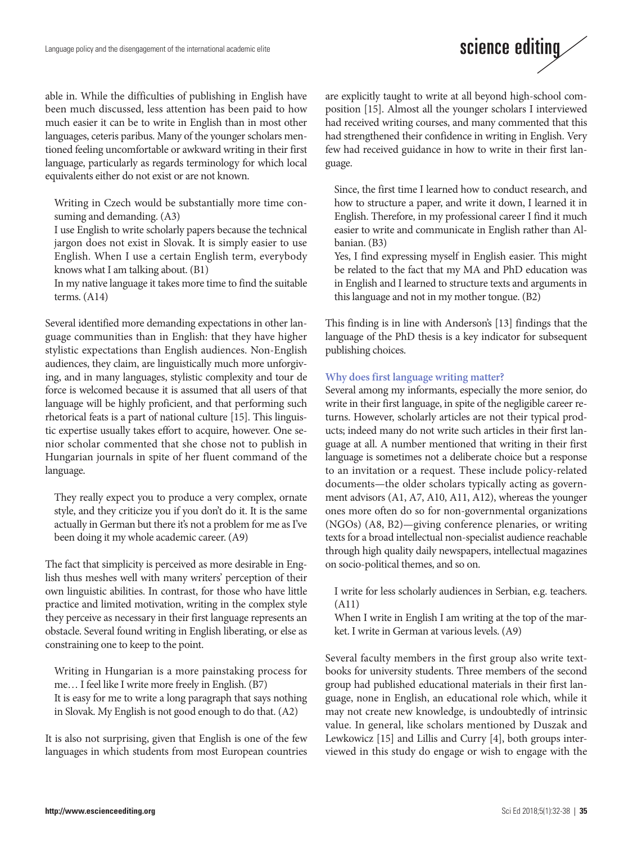

able in. While the difficulties of publishing in English have been much discussed, less attention has been paid to how much easier it can be to write in English than in most other languages, ceteris paribus. Many of the younger scholars mentioned feeling uncomfortable or awkward writing in their first language, particularly as regards terminology for which local equivalents either do not exist or are not known.

Writing in Czech would be substantially more time consuming and demanding. (A3)

I use English to write scholarly papers because the technical jargon does not exist in Slovak. It is simply easier to use English. When I use a certain English term, everybody knows what I am talking about. (B1)

In my native language it takes more time to find the suitable terms. (A14)

Several identified more demanding expectations in other language communities than in English: that they have higher stylistic expectations than English audiences. Non-English audiences, they claim, are linguistically much more unforgiving, and in many languages, stylistic complexity and tour de force is welcomed because it is assumed that all users of that language will be highly proficient, and that performing such rhetorical feats is a part of national culture [15]. This linguistic expertise usually takes effort to acquire, however. One senior scholar commented that she chose not to publish in Hungarian journals in spite of her fluent command of the language.

They really expect you to produce a very complex, ornate style, and they criticize you if you don't do it. It is the same actually in German but there it's not a problem for me as I've been doing it my whole academic career. (A9)

The fact that simplicity is perceived as more desirable in English thus meshes well with many writers' perception of their own linguistic abilities. In contrast, for those who have little practice and limited motivation, writing in the complex style they perceive as necessary in their first language represents an obstacle. Several found writing in English liberating, or else as constraining one to keep to the point.

Writing in Hungarian is a more painstaking process for me… I feel like I write more freely in English. (B7) It is easy for me to write a long paragraph that says nothing in Slovak. My English is not good enough to do that. (A2)

It is also not surprising, given that English is one of the few languages in which students from most European countries are explicitly taught to write at all beyond high-school composition [15]. Almost all the younger scholars I interviewed had received writing courses, and many commented that this had strengthened their confidence in writing in English. Very few had received guidance in how to write in their first language.

Since, the first time I learned how to conduct research, and how to structure a paper, and write it down, I learned it in English. Therefore, in my professional career I find it much easier to write and communicate in English rather than Albanian. (B3)

Yes, I find expressing myself in English easier. This might be related to the fact that my MA and PhD education was in English and I learned to structure texts and arguments in this language and not in my mother tongue. (B2)

This finding is in line with Anderson's [13] findings that the language of the PhD thesis is a key indicator for subsequent publishing choices.

### **Why does first language writing matter?**

Several among my informants, especially the more senior, do write in their first language, in spite of the negligible career returns. However, scholarly articles are not their typical products; indeed many do not write such articles in their first language at all. A number mentioned that writing in their first language is sometimes not a deliberate choice but a response to an invitation or a request. These include policy-related documents—the older scholars typically acting as government advisors (A1, A7, A10, A11, A12), whereas the younger ones more often do so for non-governmental organizations (NGOs) (A8, B2)—giving conference plenaries, or writing texts for a broad intellectual non-specialist audience reachable through high quality daily newspapers, intellectual magazines on socio-political themes, and so on.

I write for less scholarly audiences in Serbian, e.g. teachers. (A11)

When I write in English I am writing at the top of the market. I write in German at various levels. (A9)

Several faculty members in the first group also write textbooks for university students. Three members of the second group had published educational materials in their first language, none in English, an educational role which, while it may not create new knowledge, is undoubtedly of intrinsic value. In general, like scholars mentioned by Duszak and Lewkowicz [15] and Lillis and Curry [4], both groups interviewed in this study do engage or wish to engage with the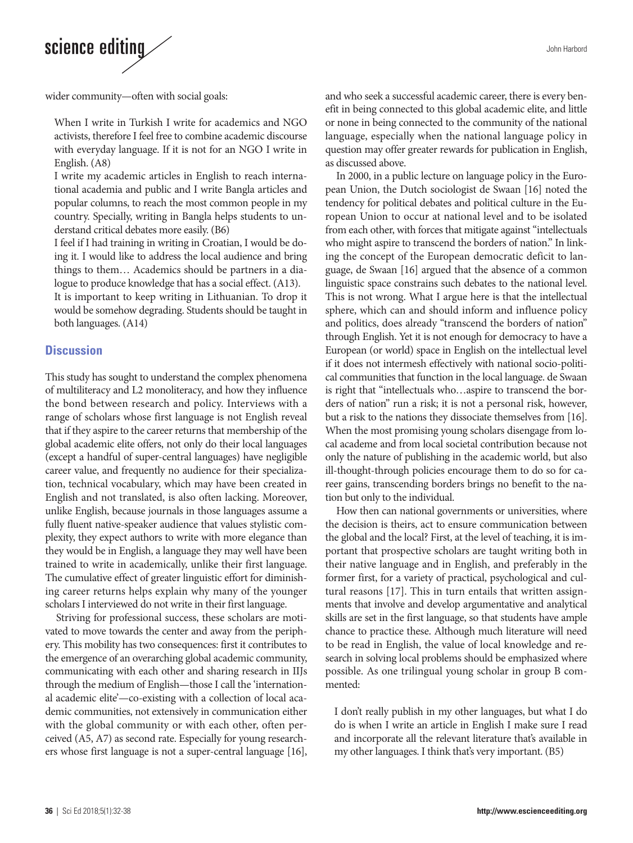John Harbord

# science editing

wider community—often with social goals:

When I write in Turkish I write for academics and NGO activists, therefore I feel free to combine academic discourse with everyday language. If it is not for an NGO I write in English. (A8)

I write my academic articles in English to reach international academia and public and I write Bangla articles and popular columns, to reach the most common people in my country. Specially, writing in Bangla helps students to understand critical debates more easily. (B6)

I feel if I had training in writing in Croatian, I would be doing it. I would like to address the local audience and bring things to them… Academics should be partners in a dialogue to produce knowledge that has a social effect. (A13).

It is important to keep writing in Lithuanian. To drop it would be somehow degrading. Students should be taught in both languages. (A14)

### **Discussion**

This study has sought to understand the complex phenomena of multiliteracy and L2 monoliteracy, and how they influence the bond between research and policy. Interviews with a range of scholars whose first language is not English reveal that if they aspire to the career returns that membership of the global academic elite offers, not only do their local languages (except a handful of super-central languages) have negligible career value, and frequently no audience for their specialization, technical vocabulary, which may have been created in English and not translated, is also often lacking. Moreover, unlike English, because journals in those languages assume a fully fluent native-speaker audience that values stylistic complexity, they expect authors to write with more elegance than they would be in English, a language they may well have been trained to write in academically, unlike their first language. The cumulative effect of greater linguistic effort for diminishing career returns helps explain why many of the younger scholars I interviewed do not write in their first language.

Striving for professional success, these scholars are motivated to move towards the center and away from the periphery. This mobility has two consequences: first it contributes to the emergence of an overarching global academic community, communicating with each other and sharing research in IIJs through the medium of English—those I call the 'international academic elite'—co-existing with a collection of local academic communities, not extensively in communication either with the global community or with each other, often perceived (A5, A7) as second rate. Especially for young researchers whose first language is not a super-central language [16], and who seek a successful academic career, there is every benefit in being connected to this global academic elite, and little or none in being connected to the community of the national language, especially when the national language policy in question may offer greater rewards for publication in English, as discussed above.

In 2000, in a public lecture on language policy in the European Union, the Dutch sociologist de Swaan [16] noted the tendency for political debates and political culture in the European Union to occur at national level and to be isolated from each other, with forces that mitigate against "intellectuals who might aspire to transcend the borders of nation." In linking the concept of the European democratic deficit to language, de Swaan [16] argued that the absence of a common linguistic space constrains such debates to the national level. This is not wrong. What I argue here is that the intellectual sphere, which can and should inform and influence policy and politics, does already "transcend the borders of nation" through English. Yet it is not enough for democracy to have a European (or world) space in English on the intellectual level if it does not intermesh effectively with national socio-political communities that function in the local language. de Swaan is right that "intellectuals who…aspire to transcend the borders of nation" run a risk; it is not a personal risk, however, but a risk to the nations they dissociate themselves from [16]. When the most promising young scholars disengage from local academe and from local societal contribution because not only the nature of publishing in the academic world, but also ill-thought-through policies encourage them to do so for career gains, transcending borders brings no benefit to the nation but only to the individual.

How then can national governments or universities, where the decision is theirs, act to ensure communication between the global and the local? First, at the level of teaching, it is important that prospective scholars are taught writing both in their native language and in English, and preferably in the former first, for a variety of practical, psychological and cultural reasons [17]. This in turn entails that written assignments that involve and develop argumentative and analytical skills are set in the first language, so that students have ample chance to practice these. Although much literature will need to be read in English, the value of local knowledge and research in solving local problems should be emphasized where possible. As one trilingual young scholar in group B commented:

I don't really publish in my other languages, but what I do do is when I write an article in English I make sure I read and incorporate all the relevant literature that's available in my other languages. I think that's very important. (B5)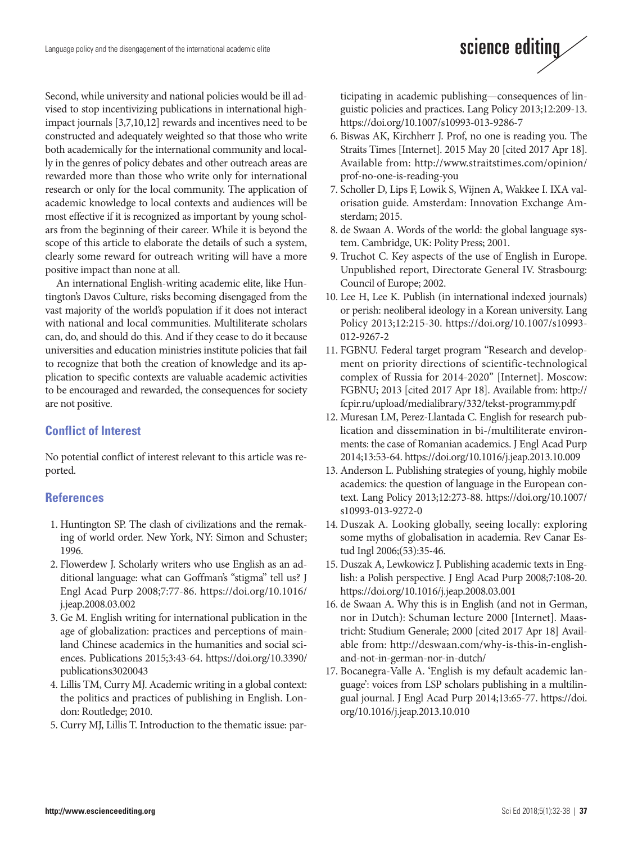Second, while university and national policies would be ill advised to stop incentivizing publications in international highimpact journals [3,7,10,12] rewards and incentives need to be constructed and adequately weighted so that those who write both academically for the international community and locally in the genres of policy debates and other outreach areas are rewarded more than those who write only for international research or only for the local community. The application of academic knowledge to local contexts and audiences will be most effective if it is recognized as important by young scholars from the beginning of their career. While it is beyond the scope of this article to elaborate the details of such a system, clearly some reward for outreach writing will have a more positive impact than none at all.

An international English-writing academic elite, like Huntington's Davos Culture, risks becoming disengaged from the vast majority of the world's population if it does not interact with national and local communities. Multiliterate scholars can, do, and should do this. And if they cease to do it because universities and education ministries institute policies that fail to recognize that both the creation of knowledge and its application to specific contexts are valuable academic activities to be encouraged and rewarded, the consequences for society are not positive.

### **Conflict of Interest**

No potential conflict of interest relevant to this article was reported.

### **References**

- 1. Huntington SP. The clash of civilizations and the remaking of world order. New York, NY: Simon and Schuster; 1996.
- 2. Flowerdew J. Scholarly writers who use English as an additional language: what can Goffman's "stigma" tell us? J Engl Acad Purp 2008;7:77-86. [https://doi.org/10.1016/](https://doi.org/10.1016/j.jeap.2008.03.002) [j.jeap.2008.03.002](https://doi.org/10.1016/j.jeap.2008.03.002)
- 3. Ge M. English writing for international publication in the age of globalization: practices and perceptions of mainland Chinese academics in the humanities and social sciences. Publications 2015;3:43-64. [https://doi.org/10.3390/](https://doi.org/10.3390/publications3020043) [publications3020043](https://doi.org/10.3390/publications3020043)
- 4. Lillis TM, Curry MJ. Academic writing in a global context: the politics and practices of publishing in English. London: Routledge; 2010.
- 5. Curry MJ, Lillis T. Introduction to the thematic issue: par-

ticipating in academic publishing—consequences of linguistic policies and practices. Lang Policy 2013;12:209-13. https://doi.org/10.1007/s10993-013-9286-7

science editing

- 6. Biswas AK, Kirchherr J. Prof, no one is reading you. The Straits Times [Internet]. 2015 May 20 [cited 2017 Apr 18]. Available from: [http://www.straitstimes.com/opinion/](http://www.straitstimes.com/opinion/prof-no-one-is-reading-you) [prof-no-one-is-reading-you](http://www.straitstimes.com/opinion/prof-no-one-is-reading-you)
- 7. Scholler D, Lips F, Lowik S, Wijnen A, Wakkee I. IXA valorisation guide. Amsterdam: Innovation Exchange Amsterdam; 2015.
- 8. de Swaan A. Words of the world: the global language system. Cambridge, UK: Polity Press; 2001.
- 9. Truchot C. Key aspects of the use of English in Europe. Unpublished report, Directorate General IV. Strasbourg: Council of Europe; 2002.
- 10. Lee H, Lee K. Publish (in international indexed journals) or perish: neoliberal ideology in a Korean university. Lang Policy 2013;12:215-30. https://doi.org/10.1007/s10993- 012-9267-2
- 11. FGBNU. Federal target program "Research and development on priority directions of scientific-technological complex of Russia for 2014-2020" [Internet]. Moscow: FGBNU; 2013 [cited 2017 Apr 18]. Available from: http:// fcpir.ru/upload/medialibrary/332/tekst-programmy.pdf
- 12. Muresan LM, Perez-Llantada C. English for research publication and dissemination in bi-/multiliterate environments: the case of Romanian academics. J Engl Acad Purp 2014;13:53-64. https://doi.org/10.1016/j.jeap.2013.10.009
- 13. Anderson L. Publishing strategies of young, highly mobile academics: the question of language in the European context. Lang Policy 2013;12:273-88. [https://doi.org/10.1007/](https://doi.org/10.1007/s10993-013-9272-0) [s10993-013-9272-0](https://doi.org/10.1007/s10993-013-9272-0)
- 14. Duszak A. Looking globally, seeing locally: exploring some myths of globalisation in academia. Rev Canar Estud Ingl 2006;(53):35-46.
- 15. Duszak A, Lewkowicz J. Publishing academic texts in English: a Polish perspective. J Engl Acad Purp 2008;7:108-20. https://doi.org/10.1016/j.jeap.2008.03.001
- 16. de Swaan A. Why this is in English (and not in German, nor in Dutch): Schuman lecture 2000 [Internet]. Maastricht: Studium Generale; 2000 [cited 2017 Apr 18] Available from: http://deswaan.com/why-is-this-in-englishand-not-in-german-nor-in-dutch/
- 17. Bocanegra-Valle A. 'English is my default academic language': voices from LSP scholars publishing in a multilingual journal. J Engl Acad Purp 2014;13:65-77. [https://doi.](https://doi.org/10.1016/j.jeap.2013.10.010) [org/10.1016/j.jeap.2013.10.010](https://doi.org/10.1016/j.jeap.2013.10.010)